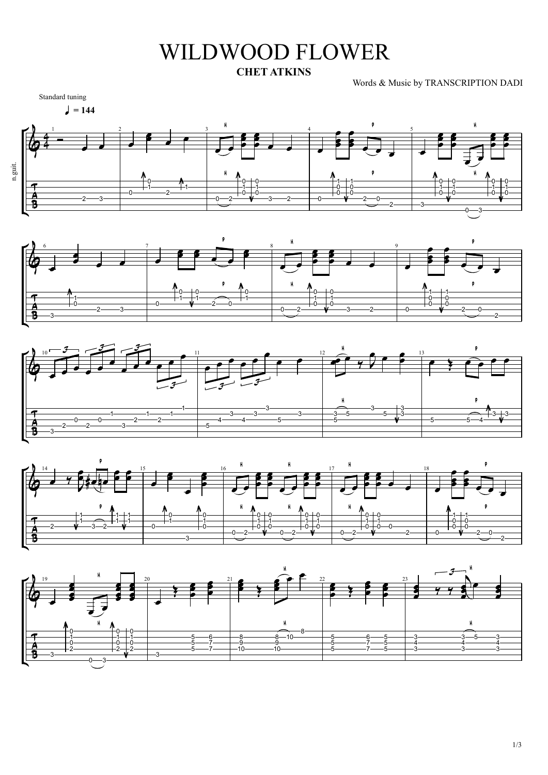## WILDWOOD FLOWER CHET ATKINS

Words & Music by TRANSCRIPTION DADI











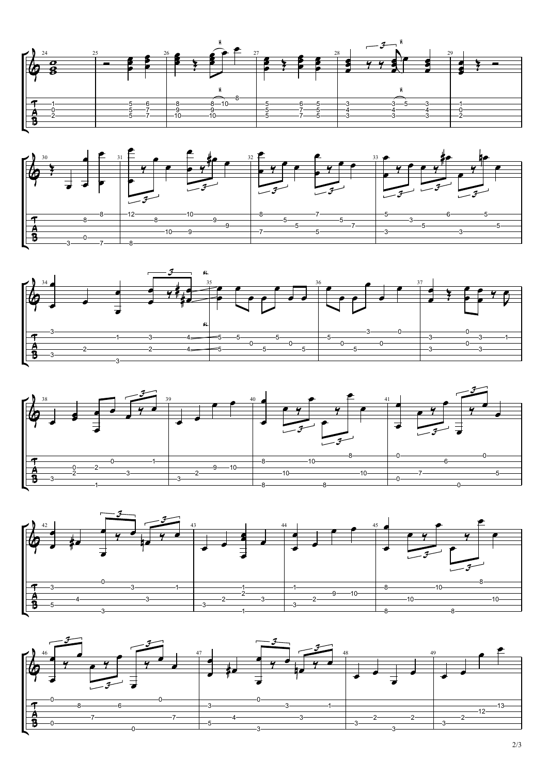